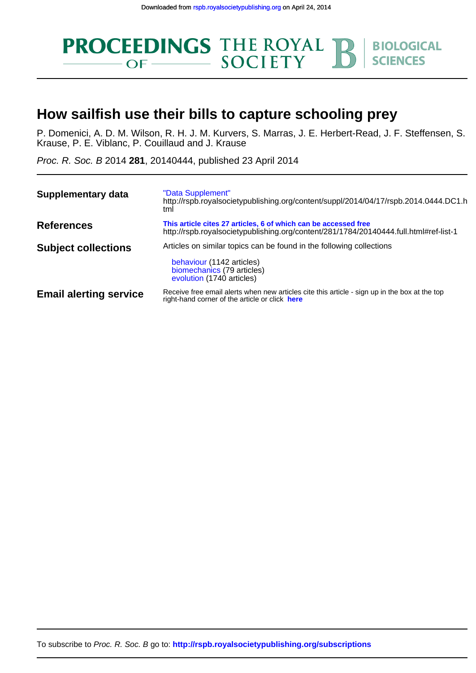## **PROCEEDINGS THE ROYAL BIOLOGICAL SCIENCES**

# **How sailfish use their bills to capture schooling prey**

Krause, P. E. Viblanc, P. Couillaud and J. Krause P. Domenici, A. D. M. Wilson, R. H. J. M. Kurvers, S. Marras, J. E. Herbert-Read, J. F. Steffensen, S.

Proc. R. Soc. B 2014 **281**, 20140444, published 23 April 2014

| <b>Supplementary data</b>     | "Data Supplement"<br>http://rspb.royalsocietypublishing.org/content/suppl/2014/04/17/rspb.2014.0444.DC1.h<br>tml                                         |
|-------------------------------|----------------------------------------------------------------------------------------------------------------------------------------------------------|
| <b>References</b>             | This article cites 27 articles, 6 of which can be accessed free<br>http://rspb.royalsocietypublishing.org/content/281/1784/20140444.full.html#ref-list-1 |
| <b>Subject collections</b>    | Articles on similar topics can be found in the following collections<br>behaviour (1142 articles)<br>biomechanics (79 articles)                          |
|                               | evolution (1740 articles)                                                                                                                                |
| <b>Email alerting service</b> | Receive free email alerts when new articles cite this article - sign up in the box at the top<br>right-hand corner of the article or click here          |

To subscribe to Proc. R. Soc. B go to: **<http://rspb.royalsocietypublishing.org/subscriptions>**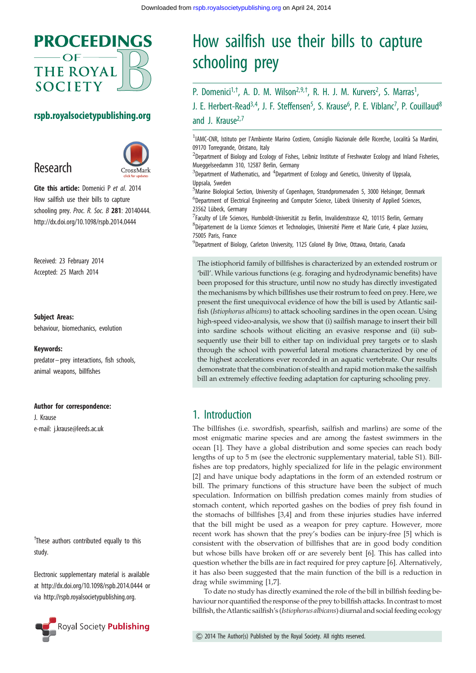

## rspb.royalsocietypublishing.org

Research



Cite this article: Domenici P et al. 2014 How sailfish use their bills to capture schooling prey. Proc. R. Soc. B 281: 20140444. http://dx.doi.org/10.1098/rspb.2014.0444

Received: 23 February 2014 Accepted: 25 March 2014

#### Subject Areas:

behaviour, biomechanics, evolution

#### Keywords:

predator– prey interactions, fish schools, animal weapons, billfishes

#### Author for correspondence:

J. Krause e-mail: [j.krause@leeds.ac.uk](mailto:j.krause@leeds.ac.uk)

<sup>†</sup>These authors contributed equally to this study.

Electronic supplementary material is available at<http://dx.doi.org/10.1098/rspb.2014.0444> or via<http://rspb.royalsocietypublishing.org>.



# How sailfish use their bills to capture schooling prey

P. Domenici<sup>1,†</sup>, A. D. M. Wilson<sup>2,9,†</sup>, R. H. J. M. Kurvers<sup>2</sup>, S. Marras<sup>1</sup> ,

J. E. Herbert-Read<sup>3,4</sup>, J. F. Steffensen<sup>5</sup>, S. Krause<sup>6</sup>, P. E. Viblanc<sup>7</sup>, P. Couillaud<sup>8</sup> and J. Krause<sup>2,7</sup>

<sup>1</sup>IAMC-CNR, Istituto per l'Ambiente Marino Costiero, Consiglio Nazionale delle Ricerche, Località Sa Mardini, 09170 Torregrande, Oristano, Italy

<sup>2</sup>Department of Biology and Ecology of Fishes, Leibniz Institute of Freshwater Ecology and Inland Fisheries, Mueggelseedamm 310, 12587 Berlin, Germany

 $3$ Department of Mathematics, and  $4$ Department of Ecology and Genetics, University of Uppsala, Uppsala, Sweden

<sup>5</sup>Marine Biological Section, University of Copenhagen, Strandpromenaden 5, 3000 Helsingør, Denmark <sup>6</sup>Department of Electrical Engineering and Computer Science, Lübeck University of Applied Sciences, 23562 Lübeck, Germany

 $^7$ Faculty of Life Sciences, Humboldt-Universität zu Berlin, Invalidenstrasse 42, 10115 Berlin, Germany <sup>8</sup>Département de la Licence Sciences et Technologies, Université Pierre et Marie Curie, 4 place Jussieu, 75005 Paris, France

9 Department of Biology, Carleton University, 1125 Colonel By Drive, Ottawa, Ontario, Canada

The istiophorid family of billfishes is characterized by an extended rostrum or 'bill'. While various functions (e.g. foraging and hydrodynamic benefits) have been proposed for this structure, until now no study has directly investigated the mechanisms by which billfishes use their rostrum to feed on prey. Here, we present the first unequivocal evidence of how the bill is used by Atlantic sailfish (Istiophorus albicans) to attack schooling sardines in the open ocean. Using high-speed video-analysis, we show that (i) sailfish manage to insert their bill into sardine schools without eliciting an evasive response and (ii) subsequently use their bill to either tap on individual prey targets or to slash through the school with powerful lateral motions characterized by one of the highest accelerations ever recorded in an aquatic vertebrate. Our results demonstrate that the combination of stealth and rapid motion make the sailfish bill an extremely effective feeding adaptation for capturing schooling prey.

#### 1. Introduction

The billfishes (i.e. swordfish, spearfish, sailfish and marlins) are some of the most enigmatic marine species and are among the fastest swimmers in the ocean [\[1\]](#page-6-0). They have a global distribution and some species can reach body lengths of up to 5 m (see the electronic supplementary material, table S1). Billfishes are top predators, highly specialized for life in the pelagic environment [[2](#page-6-0)] and have unique body adaptations in the form of an extended rostrum or bill. The primary functions of this structure have been the subject of much speculation. Information on billfish predation comes mainly from studies of stomach content, which reported gashes on the bodies of prey fish found in the stomachs of billfishes [[3,4\]](#page-6-0) and from these injuries studies have inferred that the bill might be used as a weapon for prey capture. However, more recent work has shown that the prey's bodies can be injury-free [[5](#page-6-0)] which is consistent with the observation of billfishes that are in good body condition but whose bills have broken off or are severely bent [\[6\]](#page-6-0). This has called into question whether the bills are in fact required for prey capture [\[6\]](#page-6-0). Alternatively, it has also been suggested that the main function of the bill is a reduction in drag while swimming [\[1,7](#page-6-0)].

To date no study has directly examined the role of the bill in billfish feeding behaviour nor quantified the response of the prey to billfish attacks. In contrast to most billfish, the Atlantic sailfish's (Istiophorus albicans) diurnal and social feeding ecology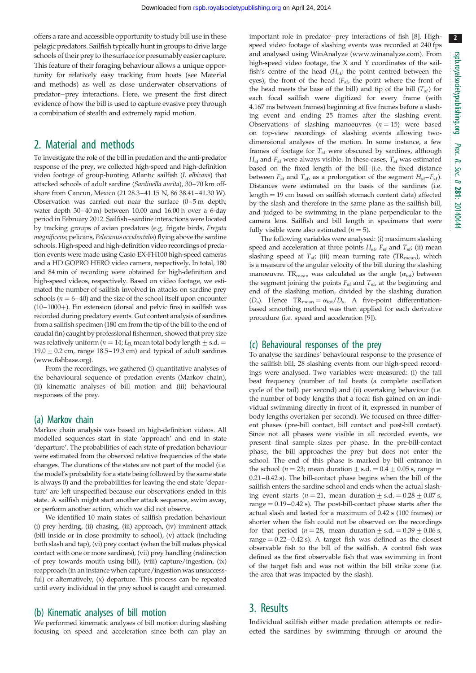offers a rare and accessible opportunity to study bill use in these pelagic predators. Sailfish typically hunt in groups to drive large schools of their prey to the surface for presumably easier capture. This feature of their foraging behaviour allows a unique opportunity for relatively easy tracking from boats (see Material and methods) as well as close underwater observations of predator–prey interactions. Here, we present the first direct evidence of how the bill is used to capture evasive prey through a combination of stealth and extremely rapid motion.

#### 2. Material and methods

To investigate the role of the bill in predation and the anti-predator response of the prey, we collected high-speed and high-definition video footage of group-hunting Atlantic sailfish (I. albicans) that attacked schools of adult sardine (Sardinella aurita), 30–70 km offshore from Cancun, Mexico (21 28.3–41.15 N, 86 38.41–41.30 W). Observation was carried out near the surface (0–5 m depth; water depth 30–40 m) between 10.00 and 16.00 h over a 6-day period in February 2012. Sailfish–sardine interactions were located by tracking groups of avian predators (e.g. frigate birds, Fregata magnificens; pelicans, Pelecanus occidentalis) flying above the sardine schools. High-speed and high-definition video recordings of predation events were made using Casio EX-FH100 high-speed cameras and a HD GOPRO HERO video camera, respectively. In total, 180 and 84 min of recording were obtained for high-definition and high-speed videos, respectively. Based on video footage, we estimated the number of sailfish involved in attacks on sardine prey schools ( $n = 6-40$ ) and the size of the school itself upon encounter  $(10-1000+)$ . Fin extension (dorsal and pelvic fins) in sailfish was recorded during predatory events. Gut content analysis of sardines from a sailfish specimen (180 cm from the tip of the bill to the end of caudal fin) caught by professional fishermen, showed that prey size was relatively uniform ( $n = 14$ ; L<sub>B</sub>, mean total body length  $\pm$  s.d. = 19.0  $\pm$  0.2 cm, range 18.5–19.3 cm) and typical of adult sardines [\(www.fishbase.org\)](http://www.fishbase.org).

From the recordings, we gathered (i) quantitative analyses of the behavioural sequence of predation events (Markov chain), (ii) kinematic analyses of bill motion and (iii) behavioural responses of the prey.

#### (a) Markov chain

Markov chain analysis was based on high-definition videos. All modelled sequences start in state 'approach' and end in state 'departure'. The probabilities of each state of predation behaviour were estimated from the observed relative frequencies of the state changes. The durations of the states are not part of the model (i.e. the model's probability for a state being followed by the same state is always 0) and the probabilities for leaving the end state 'departure' are left unspecified because our observations ended in this state. A sailfish might start another attack sequence, swim away, or perform another action, which we did not observe.

We identified 10 main states of sailfish predation behaviour: (i) prey herding, (ii) chasing, (iii) approach, (iv) imminent attack (bill inside or in close proximity to school), (v) attack (including both slash and tap), (vi) prey contact (when the bill makes physical contact with one or more sardines), (vii) prey handling (redirection of prey towards mouth using bill), (viii) capture/ingestion, (ix) reapproach (in an instance when capture/ingestion was unsuccessful) or alternatively, (x) departure. This process can be repeated until every individual in the prey school is caught and consumed.

#### (b) Kinematic analyses of bill motion

We performed kinematic analyses of bill motion during slashing focusing on speed and acceleration since both can play an important role in predator –prey interactions of fish [\[8](#page-6-0)]. Highspeed video footage of slashing events was recorded at 240 fps and analysed using WinAnalyze ([www.winanalyze.com\)](http://www.winanalyze.com). From high-speed video footage, the X and Y coordinates of the sailfish's centre of the head  $(H_{st}$ ; the point centred between the eyes), the front of the head ( $F_{sf}$ , the point where the front of the head meets the base of the bill) and tip of the bill  $(T_{sf})$  for each focal sailfish were digitized for every frame (with 4.167 ms between frames) beginning at five frames before a slashing event and ending 25 frames after the slashing event. Observations of slashing manoeuvres  $(n = 15)$  were based on top-view recordings of slashing events allowing twodimensional analyses of the motion. In some instance, a few frames of footage for  $T_{sf}$  were obscured by sardines, although  $H_{\rm sf}$  and  $F_{\rm sf}$  were always visible. In these cases,  $T_{\rm sf}$  was estimated based on the fixed length of the bill (i.e. the fixed distance between  $F_{\rm sf}$  and  $T_{\rm sf}$ , as a prolongation of the segment  $H_{\rm sf}-F_{\rm sf}$ ). Distances were estimated on the basis of the sardines (i.e.  $length = 19$  cm based on sailfish stomach content data) affected by the slash and therefore in the same plane as the sailfish bill, and judged to be swimming in the plane perpendicular to the camera lens. Sailfish and bill length in specimens that were fully visible were also estimated  $(n = 5)$ .

The following variables were analysed: (i) maximum slashing speed and acceleration at three points  $H_{sf}$ ,  $F_{sf}$  and  $T_{sf}$ , (ii) mean slashing speed at  $T_{sf}$  (iii) mean turning rate (TR<sub>mean</sub>), which is a measure of the angular velocity of the bill during the slashing manoeuvre. TR<sub>mean</sub> was calculated as the angle  $(\alpha_{\text{tot}})$  between the segment joining the points  $F_{sf}$  and  $T_{sf}$ , at the beginning and end of the slashing motion, divided by the slashing duration ( $D_s$ ). Hence TR<sub>mean</sub> =  $\alpha_{tot}/D_s$ . A five-point differentiationbased smoothing method was then applied for each derivative procedure (i.e. speed and acceleration [\[9\]](#page-6-0)).

#### (c) Behavioural responses of the prey

To analyse the sardines' behavioural response to the presence of the sailfish bill, 28 slashing events from our high-speed recordings were analysed. Two variables were measured: (i) the tail beat frequency (number of tail beats (a complete oscillation cycle of the tail) per second) and (ii) overtaking behaviour (i.e. the number of body lengths that a focal fish gained on an individual swimming directly in front of it, expressed in number of body lengths overtaken per second). We focused on three different phases (pre-bill contact, bill contact and post-bill contact). Since not all phases were visible in all recorded events, we present final sample sizes per phase. In the pre-bill-contact phase, the bill approaches the prey but does not enter the school. The end of this phase is marked by bill entrance in the school ( $n = 23$ ; mean duration  $\pm$  s.d.  $= 0.4 \pm 0.05$  s, range  $=$  $0.21 - 0.42$  s). The bill-contact phase begins when the bill of the sailfish enters the sardine school and ends when the actual slashing event starts ( $n = 21$ , mean duration  $\pm$  s.d.  $= 0.28 \pm 0.07$  s, range  $= 0.19 - 0.42$  s). The post-bill-contact phase starts after the actual slash and lasted for a maximum of 0.42 s (100 frames) or shorter when the fish could not be observed on the recordings for that period ( $n = 28$ , mean duration  $\pm$  s.d.  $= 0.39 \pm 0.06$  s, range  $= 0.22 - 0.42$  s). A target fish was defined as the closest observable fish to the bill of the sailfish. A control fish was defined as the first observable fish that was swimming in front of the target fish and was not within the bill strike zone (i.e. the area that was impacted by the slash).

#### 3. Results

Individual sailfish either made predation attempts or redirected the sardines by swimming through or around the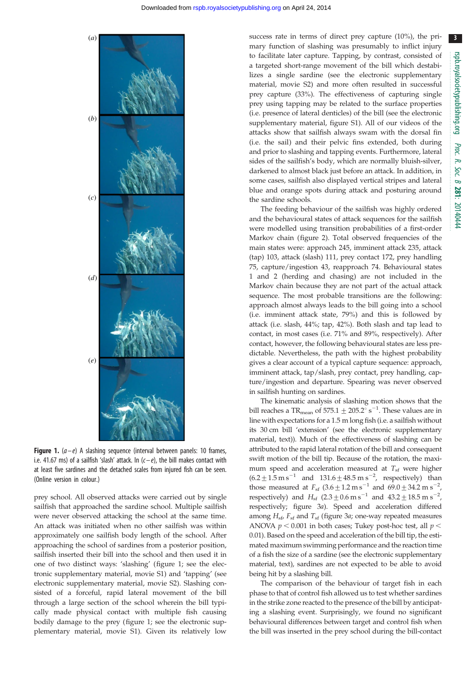

**Figure 1.**  $(a-e)$  A slashing sequence (interval between panels: 10 frames, i.e. 41.67 ms) of a sailfish 'slash' attack. In  $(c-e)$ , the bill makes contact with at least five sardines and the detached scales from injured fish can be seen. (Online version in colour.)

prey school. All observed attacks were carried out by single sailfish that approached the sardine school. Multiple sailfish were never observed attacking the school at the same time. An attack was initiated when no other sailfish was within approximately one sailfish body length of the school. After approaching the school of sardines from a posterior position, sailfish inserted their bill into the school and then used it in one of two distinct ways: 'slashing' (figure 1; see the electronic supplementary material, movie S1) and 'tapping' (see electronic supplementary material, movie S2). Slashing consisted of a forceful, rapid lateral movement of the bill through a large section of the school wherein the bill typically made physical contact with multiple fish causing bodily damage to the prey (figure 1; see the electronic supplementary material, movie S1). Given its relatively low

success rate in terms of direct prey capture (10%), the primary function of slashing was presumably to inflict injury to facilitate later capture. Tapping, by contrast, consisted of a targeted short-range movement of the bill which destabilizes a single sardine (see the electronic supplementary material, movie S2) and more often resulted in successful prey capture (33%). The effectiveness of capturing single prey using tapping may be related to the surface properties (i.e. presence of lateral denticles) of the bill (see the electronic supplementary material, figure S1). All of our videos of the attacks show that sailfish always swam with the dorsal fin (i.e. the sail) and their pelvic fins extended, both during and prior to slashing and tapping events. Furthermore, lateral sides of the sailfish's body, which are normally bluish-silver, darkened to almost black just before an attack. In addition, in some cases, sailfish also displayed vertical stripes and lateral blue and orange spots during attack and posturing around the sardine schools.

The feeding behaviour of the sailfish was highly ordered and the behavioural states of attack sequences for the sailfish were modelled using transition probabilities of a first-order Markov chain ([figure 2](#page-4-0)). Total observed frequencies of the main states were: approach 245, imminent attack 235, attack (tap) 103, attack (slash) 111, prey contact 172, prey handling 75, capture/ingestion 43, reapproach 74. Behavioural states 1 and 2 (herding and chasing) are not included in the Markov chain because they are not part of the actual attack sequence. The most probable transitions are the following: approach almost always leads to the bill going into a school (i.e. imminent attack state, 79%) and this is followed by attack (i.e. slash, 44%; tap, 42%). Both slash and tap lead to contact, in most cases (i.e. 71% and 89%, respectively). After contact, however, the following behavioural states are less predictable. Nevertheless, the path with the highest probability gives a clear account of a typical capture sequence: approach, imminent attack, tap/slash, prey contact, prey handling, capture/ingestion and departure. Spearing was never observed in sailfish hunting on sardines.

The kinematic analysis of slashing motion shows that the bill reaches a TR<sub>mean</sub> of 575.1  $\pm$  205.2° s<sup>-1</sup>. These values are in line with expectations for a 1.5 m long fish (i.e. a sailfish without its 30 cm bill 'extension' (see the electronic supplementary material, text)). Much of the effectiveness of slashing can be attributed to the rapid lateral rotation of the bill and consequent swift motion of the bill tip. Because of the rotation, the maximum speed and acceleration measured at  $T_{sf}$  were higher  $(6.2 \pm 1.5 \text{ m s}^{-1})$  and  $131.6 \pm 48.5 \text{ m s}^{-2}$ , respectively) than those measured at  $F_{\rm sf}$  (3.6  $\pm$  1.2 m s<sup>-1</sup> and 69.0  $\pm$  34.2 m s<sup>-2</sup>, respectively) and  $H_{\rm sf}$  (2.3  $\pm$  0.6 m s<sup>-1</sup> and 43.2  $\pm$  18.5 m s<sup>-2</sup>, respectively; [figure 3](#page-4-0)a). Speed and acceleration differed among  $H_{\text{sf}}$ ,  $F_{\text{sf}}$  and  $T_{\text{sf}}$  ([figure 3](#page-4-0)*a*; one-way repeated measures ANOVA  $p < 0.001$  in both cases; Tukey post-hoc test, all  $p <$ 0.01). Based on the speed and acceleration of the bill tip, the estimated maximum swimming performance and the reaction time of a fish the size of a sardine (see the electronic supplementary material, text), sardines are not expected to be able to avoid being hit by a slashing bill.

The comparison of the behaviour of target fish in each phase to that of control fish allowed us to test whether sardines in the strike zone reacted to the presence of the bill by anticipating a slashing event. Surprisingly, we found no significant behavioural differences between target and control fish when the bill was inserted in the prey school during the bill-contact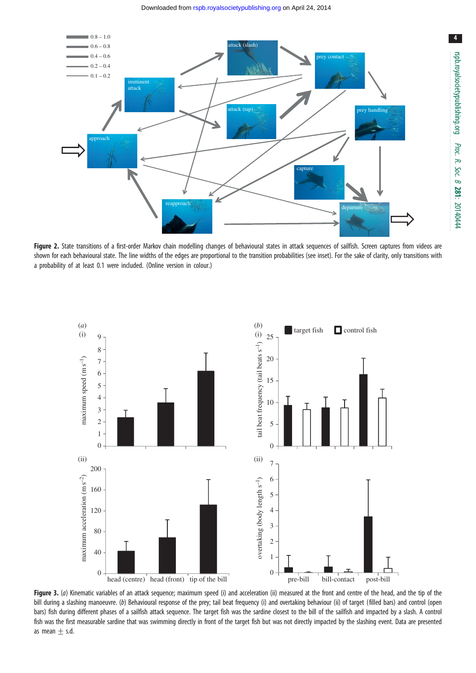<span id="page-4-0"></span>

Figure 2. State transitions of a first-order Markov chain modelling changes of behavioural states in attack sequences of sailfish. Screen captures from videos are shown for each behavioural state. The line widths of the edges are proportional to the transition probabilities (see inset). For the sake of clarity, only transitions with a probability of at least 0.1 were included. (Online version in colour.)



Figure 3. (a) Kinematic variables of an attack sequence; maximum speed (i) and acceleration (ii) measured at the front and centre of the head, and the tip of the bill during a slashing manoeuvre. (b) Behavioural response of the prey; tail beat frequency (i) and overtaking behaviour (ii) of target (filled bars) and control (open bars) fish during different phases of a sailfish attack sequence. The target fish was the sardine closest to the bill of the sailfish and impacted by a slash. A control fish was the first measurable sardine that was swimming directly in front of the target fish but was not directly impacted by the slashing event. Data are presented as mean  $\pm$  s.d.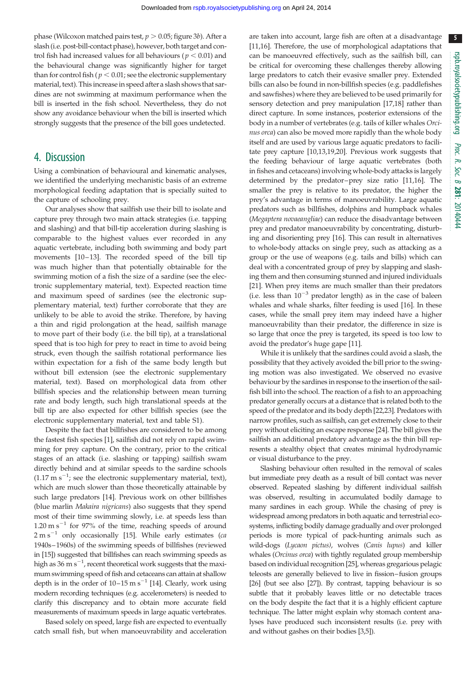phase (Wilcoxon matched pairs test,  $p > 0.05$ ; [figure 3](#page-4-0)b). After a slash (i.e. post-bill-contact phase), however, both target and control fish had increased values for all behaviours ( $p < 0.01$ ) and the behavioural change was significantly higher for target than for control fish ( $p < 0.01$ ; see the electronic supplementary material, text). This increase in speed after a slash shows that sardines are not swimming at maximum performance when the bill is inserted in the fish school. Nevertheless, they do not show any avoidance behaviour when the bill is inserted which strongly suggests that the presence of the bill goes undetected.

### 4. Discussion

Using a combination of behavioural and kinematic analyses, we identified the underlying mechanistic basis of an extreme morphological feeding adaptation that is specially suited to the capture of schooling prey.

Our analyses show that sailfish use their bill to isolate and capture prey through two main attack strategies (i.e. tapping and slashing) and that bill-tip acceleration during slashing is comparable to the highest values ever recorded in any aquatic vertebrate, including both swimming and body part movements [[10](#page-6-0)-[13](#page-6-0)]. The recorded speed of the bill tip was much higher than that potentially obtainable for the swimming motion of a fish the size of a sardine (see the electronic supplementary material, text). Expected reaction time and maximum speed of sardines (see the electronic supplementary material, text) further corroborate that they are unlikely to be able to avoid the strike. Therefore, by having a thin and rigid prolongation at the head, sailfish manage to move part of their body (i.e. the bill tip), at a translational speed that is too high for prey to react in time to avoid being struck, even though the sailfish rotational performance lies within expectation for a fish of the same body length but without bill extension (see the electronic supplementary material, text). Based on morphological data from other billfish species and the relationship between mean turning rate and body length, such high translational speeds at the bill tip are also expected for other billfish species (see the electronic supplementary material, text and table S1).

Despite the fact that billfishes are considered to be among the fastest fish species [\[1\]](#page-6-0), sailfish did not rely on rapid swimming for prey capture. On the contrary, prior to the critical stages of an attack (i.e. slashing or tapping) sailfish swam directly behind and at similar speeds to the sardine schools  $(1.17 \text{ m s}^{-1})$ ; see the electronic supplementary material, text), which are much slower than those theoretically attainable by such large predators [\[14](#page-6-0)]. Previous work on other billfishes (blue marlin Makaira nigricans) also suggests that they spend most of their time swimming slowly, i.e. at speeds less than  $1.20 \text{ m s}^{-1}$  for 97% of the time, reaching speeds of around  $2 \text{ m s}^{-1}$  only occasionally [\[15](#page-6-0)]. While early estimates (ca 1940s–1960s) of the swimming speeds of billfishes (reviewed in [\[15\]](#page-6-0)) suggested that billfishes can reach swimming speeds as high as 36 m s $^{-1}$ , recent theoretical work suggests that the maximum swimming speed of fish and cetaceans can attain at shallow depth is in the order of  $10-15$  m s<sup>-1</sup> [\[14\]](#page-6-0). Clearly, work using modern recording techniques (e.g. accelerometers) is needed to clarify this discrepancy and to obtain more accurate field measurements of maximum speeds in large aquatic vertebrates.

Based solely on speed, large fish are expected to eventually catch small fish, but when manoeuvrability and acceleration

are taken into account, large fish are often at a disadvantage [[11,16\]](#page-6-0). Therefore, the use of morphological adaptations that can be manoeuvred effectively, such as the sailfish bill, can be critical for overcoming these challenges thereby allowing large predators to catch their evasive smaller prey. Extended bills can also be found in non-billfish species (e.g. paddlefishes and sawfishes) where they are believed to be used primarily for sensory detection and prey manipulation [\[17,18](#page-6-0)] rather than direct capture. In some instances, posterior extensions of the body in a number of vertebrates (e.g. tails of killer whales Orcinus orca) can also be moved more rapidly than the whole body itself and are used by various large aquatic predators to facilitate prey capture [\[10,13,19,20](#page-6-0)]. Previous work suggests that the feeding behaviour of large aquatic vertebrates (both in fishes and cetaceans) involving whole-body attacks is largely determined by the predator–prey size ratio [\[11,16](#page-6-0)]. The smaller the prey is relative to its predator, the higher the prey's advantage in terms of manoeuvrability. Large aquatic predators such as billfishes, dolphins and humpback whales (Megaptera novaeangliae) can reduce the disadvantage between prey and predator manoeuvrability by concentrating, disturbing and disorienting prey [[16\]](#page-6-0). This can result in alternatives to whole-body attacks on single prey, such as attacking as a group or the use of weapons (e.g. tails and bills) which can deal with a concentrated group of prey by slapping and slashing them and then consuming stunned and injured individuals [[21\]](#page-6-0). When prey items are much smaller than their predators (i.e. less than  $10^{-3}$  predator length) as in the case of baleen whales and whale sharks, filter feeding is used [[16](#page-6-0)]. In these cases, while the small prey item may indeed have a higher manoeuvrability than their predator, the difference in size is so large that once the prey is targeted, its speed is too low to avoid the predator's huge gape [\[11](#page-6-0)].

While it is unlikely that the sardines could avoid a slash, the possibility that they actively avoided the bill prior to the swinging motion was also investigated. We observed no evasive behaviour by the sardines in response to the insertion of the sailfish bill into the school. The reaction of a fish to an approaching predator generally occurs at a distance that is related both to the speed of the predator and its body depth [[22,23\]](#page-6-0). Predators with narrow profiles, such as sailfish, can get extremely close to their prey without eliciting an escape response [[24\]](#page-6-0). The bill gives the sailfish an additional predatory advantage as the thin bill represents a stealthy object that creates minimal hydrodynamic or visual disturbance to the prey.

Slashing behaviour often resulted in the removal of scales but immediate prey death as a result of bill contact was never observed. Repeated slashing by different individual sailfish was observed, resulting in accumulated bodily damage to many sardines in each group. While the chasing of prey is widespread among predators in both aquatic and terrestrial ecosystems, inflicting bodily damage gradually and over prolonged periods is more typical of pack-hunting animals such as wild-dogs (Lycaon pictus), wolves (Canis lupus) and killer whales (Orcinus orca) with tightly regulated group membership based on individual recognition [\[25\]](#page-6-0), whereas gregarious pelagic teleosts are generally believed to live in fission–fusion groups [[26](#page-6-0)] (but see also [\[27](#page-6-0)]). By contrast, tapping behaviour is so subtle that it probably leaves little or no detectable traces on the body despite the fact that it is a highly efficient capture technique. The latter might explain why stomach content analyses have produced such inconsistent results (i.e. prey with and without gashes on their bodies [[3,5\]](#page-6-0)).